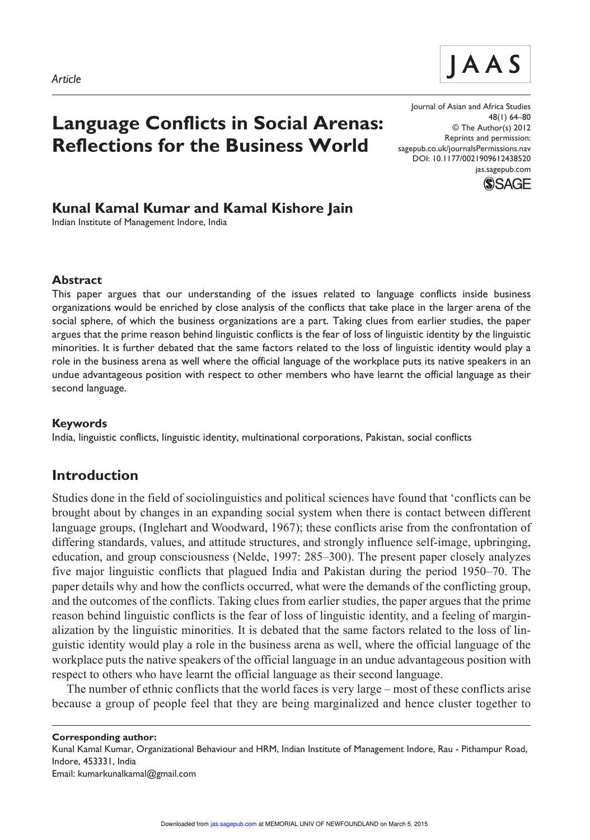



Journal of Asian and Africa Studies 48(1) 64-80 © The Author(s) 2012 Reprints and permission: sagepub.co.uk/journalsPermissions.nav DOI: 10.1177/0021909612438520 jas.sagepub.com



## **Kunal Kamal Kumar and Kamal Kishore Jain**

Indian Institute of Management Indore, India

#### **Abstract**

This paper argues that our understanding of the issues related to language conflicts inside business organizations would be enriched by close analysis of the conflicts that take place in the larger arena of the social sphere, of which the business organizations are a part. Taking clues from earlier studies, the paper argues that the prime reason behind linguistic conflicts is the fear of loss of linguistic identity by the linguistic minorities. It is further debated that the same factors related to the loss of linguistic identity would play a role in the business arena as well where the official language of the workplace puts its native speakers in an undue advantageous position with respect to other members who have learnt the official language as their second language.

#### **Keywords**

India, linguistic conflicts, linguistic identity, multinational corporations, Pakistan, social conflicts

## **Introduction**

Studies done in the field of sociolinguistics and political sciences have found that 'conflicts can be brought about by changes in an expanding social system when there is contact between different language groups, (Inglehart and Woodward, 1967); these conflicts arise from the confrontation of differing standards, values, and attitude structures, and strongly influence self-image, upbringing, education, and group consciousness (Nelde, 1997: 285–300). The present paper closely analyzes five major linguistic conflicts that plagued India and Pakistan during the period 1950–70. The paper details why and how the conflicts occurred, what were the demands of the conflicting group, and the outcomes of the conflicts. Taking clues from earlier studies, the paper argues that the prime reason behind linguistic conflicts is the fear of loss of linguistic identity, and a feeling of marginalization by the linguistic minorities. It is debated that the same factors related to the loss of linguistic identity would play a role in the business arena as well, where the official language of the workplace puts the native speakers of the official language in an undue advantageous position with respect to others who have learnt the official language as their second language.

The number of ethnic conflicts that the world faces is very large – most of these conflicts arise because a group of people feel that they are being marginalized and hence cluster together to

**Corresponding author:**

Kunal Kamal Kumar, Organizational Behaviour and HRM, Indian Institute of Management Indore, Rau - Pithampur Road, Indore, 453331, India Email: kumarkunalkamal@gmail.com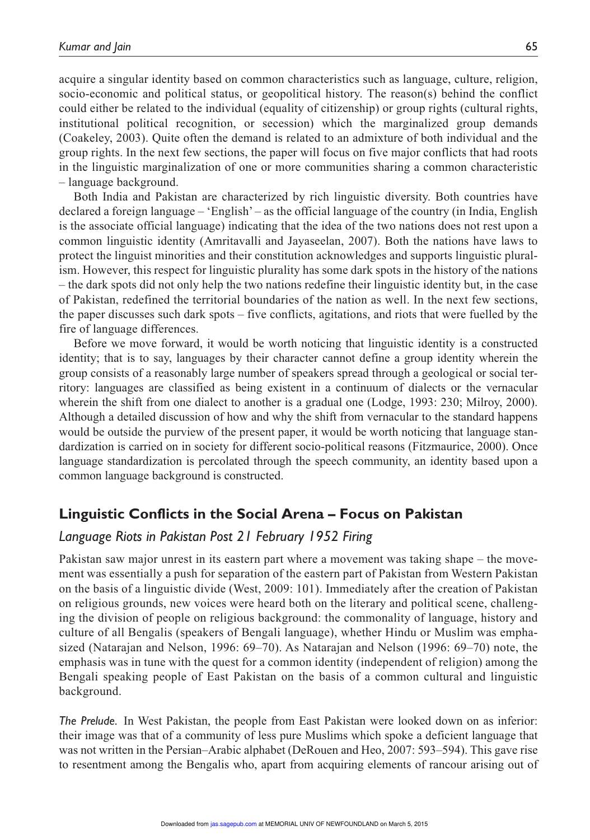acquire a singular identity based on common characteristics such as language, culture, religion, socio-economic and political status, or geopolitical history. The reason(s) behind the conflict could either be related to the individual (equality of citizenship) or group rights (cultural rights, institutional political recognition, or secession) which the marginalized group demands (Coakeley, 2003). Quite often the demand is related to an admixture of both individual and the group rights. In the next few sections, the paper will focus on five major conflicts that had roots in the linguistic marginalization of one or more communities sharing a common characteristic – language background.

Both India and Pakistan are characterized by rich linguistic diversity. Both countries have declared a foreign language – 'English' – as the official language of the country (in India, English is the associate official language) indicating that the idea of the two nations does not rest upon a common linguistic identity (Amritavalli and Jayaseelan, 2007). Both the nations have laws to protect the linguist minorities and their constitution acknowledges and supports linguistic pluralism. However, this respect for linguistic plurality has some dark spots in the history of the nations – the dark spots did not only help the two nations redefine their linguistic identity but, in the case of Pakistan, redefined the territorial boundaries of the nation as well. In the next few sections, the paper discusses such dark spots – five conflicts, agitations, and riots that were fuelled by the fire of language differences.

Before we move forward, it would be worth noticing that linguistic identity is a constructed identity; that is to say, languages by their character cannot define a group identity wherein the group consists of a reasonably large number of speakers spread through a geological or social territory: languages are classified as being existent in a continuum of dialects or the vernacular wherein the shift from one dialect to another is a gradual one (Lodge, 1993: 230; Milroy, 2000). Although a detailed discussion of how and why the shift from vernacular to the standard happens would be outside the purview of the present paper, it would be worth noticing that language standardization is carried on in society for different socio-political reasons (Fitzmaurice, 2000). Once language standardization is percolated through the speech community, an identity based upon a common language background is constructed.

### **Linguistic Conflicts in the Social Arena – Focus on Pakistan**

### *Language Riots in Pakistan Post 21 February 1952 Firing*

Pakistan saw major unrest in its eastern part where a movement was taking shape – the movement was essentially a push for separation of the eastern part of Pakistan from Western Pakistan on the basis of a linguistic divide (West, 2009: 101). Immediately after the creation of Pakistan on religious grounds, new voices were heard both on the literary and political scene, challenging the division of people on religious background: the commonality of language, history and culture of all Bengalis (speakers of Bengali language), whether Hindu or Muslim was emphasized (Natarajan and Nelson, 1996: 69–70). As Natarajan and Nelson (1996: 69–70) note, the emphasis was in tune with the quest for a common identity (independent of religion) among the Bengali speaking people of East Pakistan on the basis of a common cultural and linguistic background.

*The Prelude.* In West Pakistan, the people from East Pakistan were looked down on as inferior: their image was that of a community of less pure Muslims which spoke a deficient language that was not written in the Persian–Arabic alphabet (DeRouen and Heo, 2007: 593–594). This gave rise to resentment among the Bengalis who, apart from acquiring elements of rancour arising out of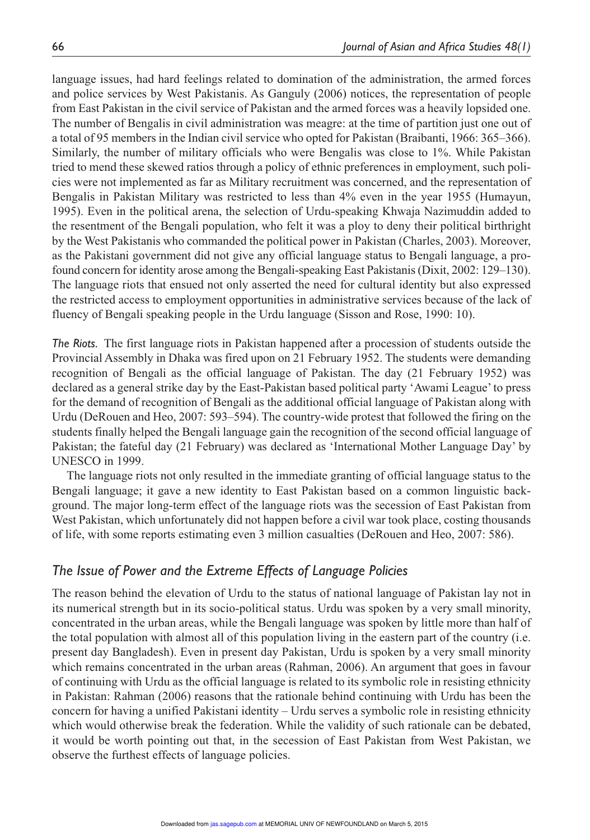language issues, had hard feelings related to domination of the administration, the armed forces and police services by West Pakistanis. As Ganguly (2006) notices, the representation of people from East Pakistan in the civil service of Pakistan and the armed forces was a heavily lopsided one. The number of Bengalis in civil administration was meagre: at the time of partition just one out of a total of 95 members in the Indian civil service who opted for Pakistan (Braibanti, 1966: 365–366). Similarly, the number of military officials who were Bengalis was close to 1%. While Pakistan tried to mend these skewed ratios through a policy of ethnic preferences in employment, such policies were not implemented as far as Military recruitment was concerned, and the representation of Bengalis in Pakistan Military was restricted to less than 4% even in the year 1955 (Humayun, 1995). Even in the political arena, the selection of Urdu-speaking Khwaja Nazimuddin added to the resentment of the Bengali population, who felt it was a ploy to deny their political birthright by the West Pakistanis who commanded the political power in Pakistan (Charles, 2003). Moreover, as the Pakistani government did not give any official language status to Bengali language, a profound concern for identity arose among the Bengali-speaking East Pakistanis (Dixit, 2002: 129–130). The language riots that ensued not only asserted the need for cultural identity but also expressed the restricted access to employment opportunities in administrative services because of the lack of fluency of Bengali speaking people in the Urdu language (Sisson and Rose, 1990: 10).

*The Riots.* The first language riots in Pakistan happened after a procession of students outside the Provincial Assembly in Dhaka was fired upon on 21 February 1952. The students were demanding recognition of Bengali as the official language of Pakistan. The day (21 February 1952) was declared as a general strike day by the East-Pakistan based political party 'Awami League' to press for the demand of recognition of Bengali as the additional official language of Pakistan along with Urdu (DeRouen and Heo, 2007: 593–594). The country-wide protest that followed the firing on the students finally helped the Bengali language gain the recognition of the second official language of Pakistan; the fateful day (21 February) was declared as 'International Mother Language Day' by UNESCO in 1999.

The language riots not only resulted in the immediate granting of official language status to the Bengali language; it gave a new identity to East Pakistan based on a common linguistic background. The major long-term effect of the language riots was the secession of East Pakistan from West Pakistan, which unfortunately did not happen before a civil war took place, costing thousands of life, with some reports estimating even 3 million casualties (DeRouen and Heo, 2007: 586).

### *The Issue of Power and the Extreme Effects of Language Policies*

The reason behind the elevation of Urdu to the status of national language of Pakistan lay not in its numerical strength but in its socio-political status. Urdu was spoken by a very small minority, concentrated in the urban areas, while the Bengali language was spoken by little more than half of the total population with almost all of this population living in the eastern part of the country (i.e. present day Bangladesh). Even in present day Pakistan, Urdu is spoken by a very small minority which remains concentrated in the urban areas (Rahman, 2006). An argument that goes in favour of continuing with Urdu as the official language is related to its symbolic role in resisting ethnicity in Pakistan: Rahman (2006) reasons that the rationale behind continuing with Urdu has been the concern for having a unified Pakistani identity – Urdu serves a symbolic role in resisting ethnicity which would otherwise break the federation. While the validity of such rationale can be debated, it would be worth pointing out that, in the secession of East Pakistan from West Pakistan, we observe the furthest effects of language policies.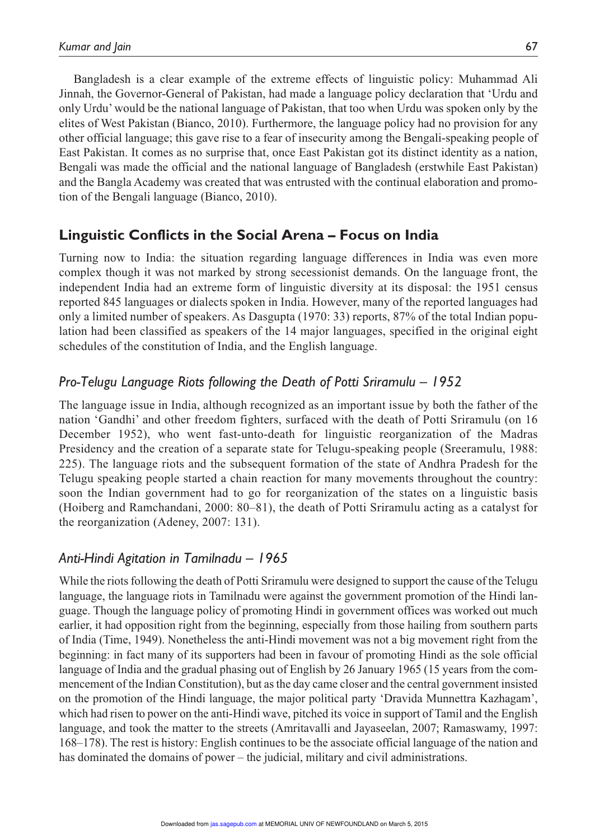Bangladesh is a clear example of the extreme effects of linguistic policy: Muhammad Ali Jinnah, the Governor-General of Pakistan, had made a language policy declaration that 'Urdu and only Urdu' would be the national language of Pakistan, that too when Urdu was spoken only by the elites of West Pakistan (Bianco, 2010). Furthermore, the language policy had no provision for any other official language; this gave rise to a fear of insecurity among the Bengali-speaking people of East Pakistan. It comes as no surprise that, once East Pakistan got its distinct identity as a nation, Bengali was made the official and the national language of Bangladesh (erstwhile East Pakistan) and the Bangla Academy was created that was entrusted with the continual elaboration and promotion of the Bengali language (Bianco, 2010).

# **Linguistic Conflicts in the Social Arena – Focus on India**

Turning now to India: the situation regarding language differences in India was even more complex though it was not marked by strong secessionist demands. On the language front, the independent India had an extreme form of linguistic diversity at its disposal: the 1951 census reported 845 languages or dialects spoken in India. However, many of the reported languages had only a limited number of speakers. As Dasgupta (1970: 33) reports, 87% of the total Indian population had been classified as speakers of the 14 major languages, specified in the original eight schedules of the constitution of India, and the English language.

## *Pro-Telugu Language Riots following the Death of Potti Sriramulu – 1952*

The language issue in India, although recognized as an important issue by both the father of the nation 'Gandhi' and other freedom fighters, surfaced with the death of Potti Sriramulu (on 16 December 1952), who went fast-unto-death for linguistic reorganization of the Madras Presidency and the creation of a separate state for Telugu-speaking people (Sreeramulu, 1988: 225). The language riots and the subsequent formation of the state of Andhra Pradesh for the Telugu speaking people started a chain reaction for many movements throughout the country: soon the Indian government had to go for reorganization of the states on a linguistic basis (Hoiberg and Ramchandani, 2000: 80–81), the death of Potti Sriramulu acting as a catalyst for the reorganization (Adeney, 2007: 131).

## *Anti-Hindi Agitation in Tamilnadu – 1965*

While the riots following the death of Potti Sriramulu were designed to support the cause of the Telugu language, the language riots in Tamilnadu were against the government promotion of the Hindi language. Though the language policy of promoting Hindi in government offices was worked out much earlier, it had opposition right from the beginning, especially from those hailing from southern parts of India (Time, 1949). Nonetheless the anti-Hindi movement was not a big movement right from the beginning: in fact many of its supporters had been in favour of promoting Hindi as the sole official language of India and the gradual phasing out of English by 26 January 1965 (15 years from the commencement of the Indian Constitution), but as the day came closer and the central government insisted on the promotion of the Hindi language, the major political party 'Dravida Munnettra Kazhagam', which had risen to power on the anti-Hindi wave, pitched its voice in support of Tamil and the English language, and took the matter to the streets (Amritavalli and Jayaseelan, 2007; Ramaswamy, 1997: 168–178). The rest is history: English continues to be the associate official language of the nation and has dominated the domains of power – the judicial, military and civil administrations.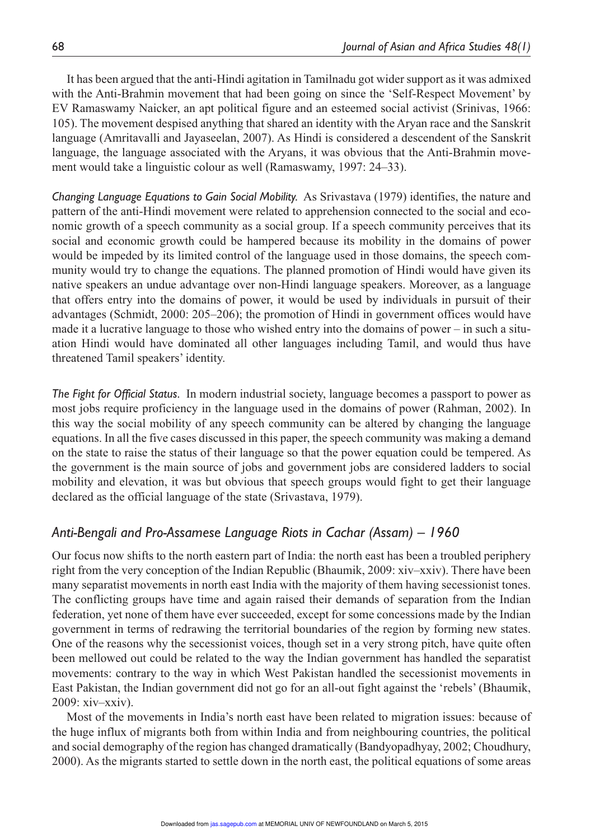It has been argued that the anti-Hindi agitation in Tamilnadu got wider support as it was admixed with the Anti-Brahmin movement that had been going on since the 'Self-Respect Movement' by EV Ramaswamy Naicker, an apt political figure and an esteemed social activist (Srinivas, 1966: 105). The movement despised anything that shared an identity with the Aryan race and the Sanskrit language (Amritavalli and Jayaseelan, 2007). As Hindi is considered a descendent of the Sanskrit language, the language associated with the Aryans, it was obvious that the Anti-Brahmin movement would take a linguistic colour as well (Ramaswamy, 1997: 24–33).

*Changing Language Equations to Gain Social Mobility.* As Srivastava (1979) identifies, the nature and pattern of the anti-Hindi movement were related to apprehension connected to the social and economic growth of a speech community as a social group. If a speech community perceives that its social and economic growth could be hampered because its mobility in the domains of power would be impeded by its limited control of the language used in those domains, the speech community would try to change the equations. The planned promotion of Hindi would have given its native speakers an undue advantage over non-Hindi language speakers. Moreover, as a language that offers entry into the domains of power, it would be used by individuals in pursuit of their advantages (Schmidt, 2000: 205–206); the promotion of Hindi in government offices would have made it a lucrative language to those who wished entry into the domains of power – in such a situation Hindi would have dominated all other languages including Tamil, and would thus have threatened Tamil speakers' identity.

*The Fight for Official Status.* In modern industrial society, language becomes a passport to power as most jobs require proficiency in the language used in the domains of power (Rahman, 2002). In this way the social mobility of any speech community can be altered by changing the language equations. In all the five cases discussed in this paper, the speech community was making a demand on the state to raise the status of their language so that the power equation could be tempered. As the government is the main source of jobs and government jobs are considered ladders to social mobility and elevation, it was but obvious that speech groups would fight to get their language declared as the official language of the state (Srivastava, 1979).

# *Anti-Bengali and Pro-Assamese Language Riots in Cachar (Assam) – 1960*

Our focus now shifts to the north eastern part of India: the north east has been a troubled periphery right from the very conception of the Indian Republic (Bhaumik, 2009: xiv–xxiv). There have been many separatist movements in north east India with the majority of them having secessionist tones. The conflicting groups have time and again raised their demands of separation from the Indian federation, yet none of them have ever succeeded, except for some concessions made by the Indian government in terms of redrawing the territorial boundaries of the region by forming new states. One of the reasons why the secessionist voices, though set in a very strong pitch, have quite often been mellowed out could be related to the way the Indian government has handled the separatist movements: contrary to the way in which West Pakistan handled the secessionist movements in East Pakistan, the Indian government did not go for an all-out fight against the 'rebels' (Bhaumik, 2009: xiv–xxiv).

Most of the movements in India's north east have been related to migration issues: because of the huge influx of migrants both from within India and from neighbouring countries, the political and social demography of the region has changed dramatically (Bandyopadhyay, 2002; Choudhury, 2000). As the migrants started to settle down in the north east, the political equations of some areas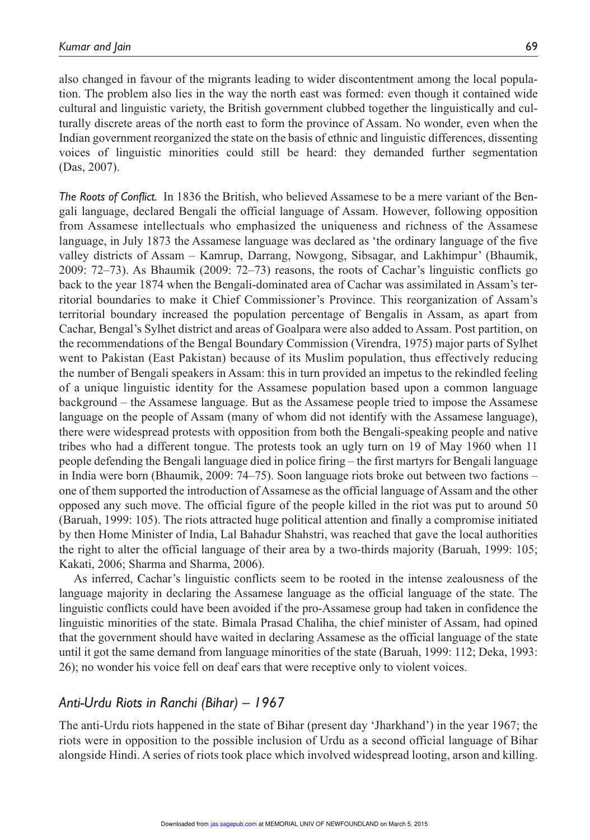also changed in favour of the migrants leading to wider discontentment among the local population. The problem also lies in the way the north east was formed: even though it contained wide cultural and linguistic variety, the British government clubbed together the linguistically and culturally discrete areas of the north east to form the province of Assam. No wonder, even when the Indian government reorganized the state on the basis of ethnic and linguistic differences, dissenting voices of linguistic minorities could still be heard: they demanded further segmentation (Das, 2007).

*The Roots of Conflict.* In 1836 the British, who believed Assamese to be a mere variant of the Bengali language, declared Bengali the official language of Assam. However, following opposition from Assamese intellectuals who emphasized the uniqueness and richness of the Assamese language, in July 1873 the Assamese language was declared as 'the ordinary language of the five valley districts of Assam – Kamrup, Darrang, Nowgong, Sibsagar, and Lakhimpur' (Bhaumik, 2009: 72–73). As Bhaumik (2009: 72–73) reasons, the roots of Cachar's linguistic conflicts go back to the year 1874 when the Bengali-dominated area of Cachar was assimilated in Assam's territorial boundaries to make it Chief Commissioner's Province. This reorganization of Assam's territorial boundary increased the population percentage of Bengalis in Assam, as apart from Cachar, Bengal's Sylhet district and areas of Goalpara were also added to Assam. Post partition, on the recommendations of the Bengal Boundary Commission (Virendra, 1975) major parts of Sylhet went to Pakistan (East Pakistan) because of its Muslim population, thus effectively reducing the number of Bengali speakers in Assam: this in turn provided an impetus to the rekindled feeling of a unique linguistic identity for the Assamese population based upon a common language background – the Assamese language. But as the Assamese people tried to impose the Assamese language on the people of Assam (many of whom did not identify with the Assamese language), there were widespread protests with opposition from both the Bengali-speaking people and native tribes who had a different tongue. The protests took an ugly turn on 19 of May 1960 when 11 people defending the Bengali language died in police firing – the first martyrs for Bengali language in India were born (Bhaumik, 2009: 74–75). Soon language riots broke out between two factions – one of them supported the introduction of Assamese as the official language of Assam and the other opposed any such move. The official figure of the people killed in the riot was put to around 50 (Baruah, 1999: 105). The riots attracted huge political attention and finally a compromise initiated by then Home Minister of India, Lal Bahadur Shahstri, was reached that gave the local authorities the right to alter the official language of their area by a two-thirds majority (Baruah, 1999: 105; Kakati, 2006; Sharma and Sharma, 2006).

As inferred, Cachar's linguistic conflicts seem to be rooted in the intense zealousness of the language majority in declaring the Assamese language as the official language of the state. The linguistic conflicts could have been avoided if the pro-Assamese group had taken in confidence the linguistic minorities of the state. Bimala Prasad Chaliha, the chief minister of Assam, had opined that the government should have waited in declaring Assamese as the official language of the state until it got the same demand from language minorities of the state (Baruah, 1999: 112; Deka, 1993: 26); no wonder his voice fell on deaf ears that were receptive only to violent voices.

### *Anti-Urdu Riots in Ranchi (Bihar) – 1967*

The anti-Urdu riots happened in the state of Bihar (present day 'Jharkhand') in the year 1967; the riots were in opposition to the possible inclusion of Urdu as a second official language of Bihar alongside Hindi. A series of riots took place which involved widespread looting, arson and killing.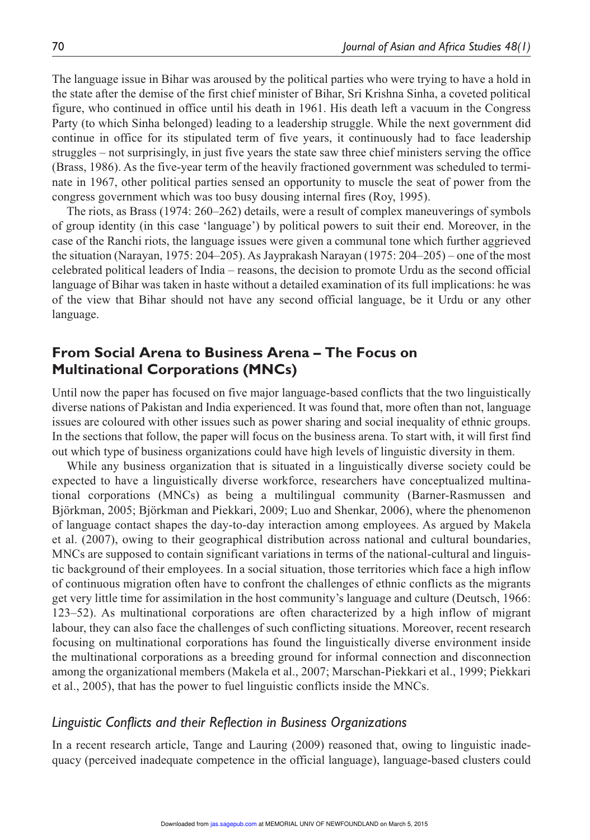The language issue in Bihar was aroused by the political parties who were trying to have a hold in the state after the demise of the first chief minister of Bihar, Sri Krishna Sinha, a coveted political figure, who continued in office until his death in 1961. His death left a vacuum in the Congress Party (to which Sinha belonged) leading to a leadership struggle. While the next government did continue in office for its stipulated term of five years, it continuously had to face leadership struggles – not surprisingly, in just five years the state saw three chief ministers serving the office (Brass, 1986). As the five-year term of the heavily fractioned government was scheduled to terminate in 1967, other political parties sensed an opportunity to muscle the seat of power from the congress government which was too busy dousing internal fires (Roy, 1995).

The riots, as Brass (1974: 260–262) details, were a result of complex maneuverings of symbols of group identity (in this case 'language') by political powers to suit their end. Moreover, in the case of the Ranchi riots, the language issues were given a communal tone which further aggrieved the situation (Narayan, 1975: 204–205). As Jayprakash Narayan (1975: 204–205) – one of the most celebrated political leaders of India – reasons, the decision to promote Urdu as the second official language of Bihar was taken in haste without a detailed examination of its full implications: he was of the view that Bihar should not have any second official language, be it Urdu or any other language.

# **From Social Arena to Business Arena – The Focus on Multinational Corporations (MNCs)**

Until now the paper has focused on five major language-based conflicts that the two linguistically diverse nations of Pakistan and India experienced. It was found that, more often than not, language issues are coloured with other issues such as power sharing and social inequality of ethnic groups. In the sections that follow, the paper will focus on the business arena. To start with, it will first find out which type of business organizations could have high levels of linguistic diversity in them.

While any business organization that is situated in a linguistically diverse society could be expected to have a linguistically diverse workforce, researchers have conceptualized multinational corporations (MNCs) as being a multilingual community (Barner-Rasmussen and Björkman, 2005; Björkman and Piekkari, 2009; Luo and Shenkar, 2006), where the phenomenon of language contact shapes the day-to-day interaction among employees. As argued by Makela et al. (2007), owing to their geographical distribution across national and cultural boundaries, MNCs are supposed to contain significant variations in terms of the national-cultural and linguistic background of their employees. In a social situation, those territories which face a high inflow of continuous migration often have to confront the challenges of ethnic conflicts as the migrants get very little time for assimilation in the host community's language and culture (Deutsch, 1966: 123–52). As multinational corporations are often characterized by a high inflow of migrant labour, they can also face the challenges of such conflicting situations. Moreover, recent research focusing on multinational corporations has found the linguistically diverse environment inside the multinational corporations as a breeding ground for informal connection and disconnection among the organizational members (Makela et al., 2007; Marschan-Piekkari et al., 1999; Piekkari et al., 2005), that has the power to fuel linguistic conflicts inside the MNCs.

#### *Linguistic Conflicts and their Reflection in Business Organizations*

In a recent research article, Tange and Lauring (2009) reasoned that, owing to linguistic inadequacy (perceived inadequate competence in the official language), language-based clusters could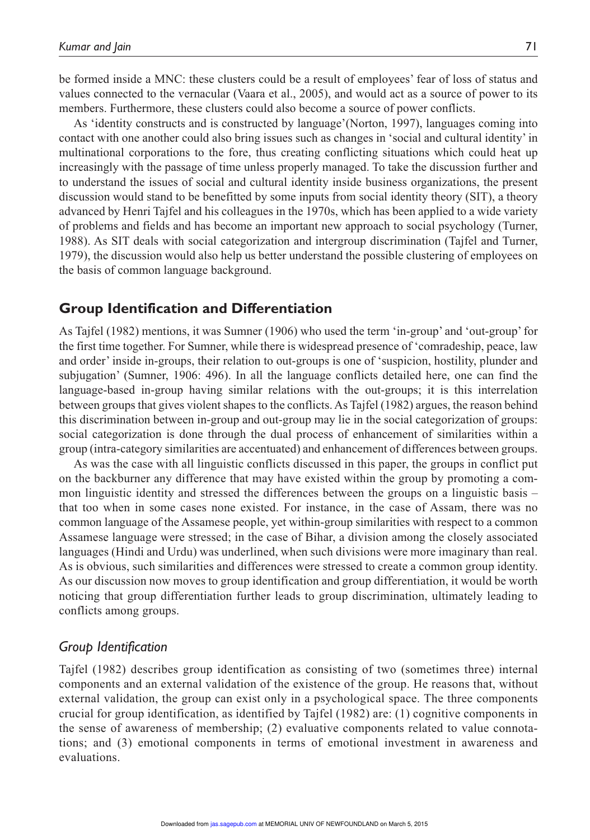be formed inside a MNC: these clusters could be a result of employees' fear of loss of status and values connected to the vernacular (Vaara et al., 2005), and would act as a source of power to its members. Furthermore, these clusters could also become a source of power conflicts.

As 'identity constructs and is constructed by language'(Norton, 1997), languages coming into contact with one another could also bring issues such as changes in 'social and cultural identity' in multinational corporations to the fore, thus creating conflicting situations which could heat up increasingly with the passage of time unless properly managed. To take the discussion further and to understand the issues of social and cultural identity inside business organizations, the present discussion would stand to be benefitted by some inputs from social identity theory (SIT), a theory advanced by Henri Tajfel and his colleagues in the 1970s, which has been applied to a wide variety of problems and fields and has become an important new approach to social psychology (Turner, 1988). As SIT deals with social categorization and intergroup discrimination (Tajfel and Turner, 1979), the discussion would also help us better understand the possible clustering of employees on the basis of common language background.

### **Group Identification and Differentiation**

As Tajfel (1982) mentions, it was Sumner (1906) who used the term 'in-group' and 'out-group' for the first time together. For Sumner, while there is widespread presence of 'comradeship, peace, law and order' inside in-groups, their relation to out-groups is one of 'suspicion, hostility, plunder and subjugation' (Sumner, 1906: 496). In all the language conflicts detailed here, one can find the language-based in-group having similar relations with the out-groups; it is this interrelation between groups that gives violent shapes to the conflicts. As Tajfel (1982) argues, the reason behind this discrimination between in-group and out-group may lie in the social categorization of groups: social categorization is done through the dual process of enhancement of similarities within a group (intra-category similarities are accentuated) and enhancement of differences between groups.

As was the case with all linguistic conflicts discussed in this paper, the groups in conflict put on the backburner any difference that may have existed within the group by promoting a common linguistic identity and stressed the differences between the groups on a linguistic basis – that too when in some cases none existed. For instance, in the case of Assam, there was no common language of the Assamese people, yet within-group similarities with respect to a common Assamese language were stressed; in the case of Bihar, a division among the closely associated languages (Hindi and Urdu) was underlined, when such divisions were more imaginary than real. As is obvious, such similarities and differences were stressed to create a common group identity. As our discussion now moves to group identification and group differentiation, it would be worth noticing that group differentiation further leads to group discrimination, ultimately leading to conflicts among groups.

#### *Group Identification*

Tajfel (1982) describes group identification as consisting of two (sometimes three) internal components and an external validation of the existence of the group. He reasons that, without external validation, the group can exist only in a psychological space. The three components crucial for group identification, as identified by Tajfel (1982) are: (1) cognitive components in the sense of awareness of membership; (2) evaluative components related to value connotations; and (3) emotional components in terms of emotional investment in awareness and evaluations.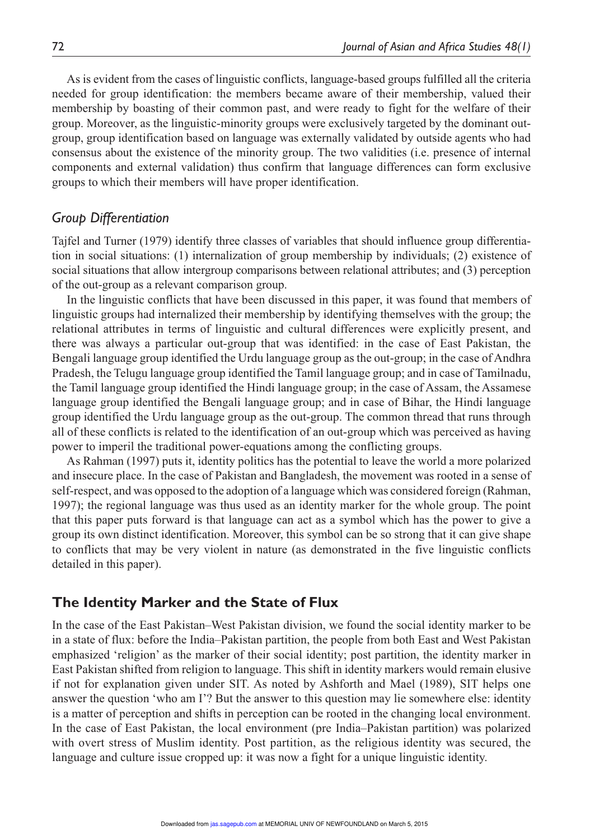As is evident from the cases of linguistic conflicts, language-based groups fulfilled all the criteria needed for group identification: the members became aware of their membership, valued their membership by boasting of their common past, and were ready to fight for the welfare of their group. Moreover, as the linguistic-minority groups were exclusively targeted by the dominant outgroup, group identification based on language was externally validated by outside agents who had consensus about the existence of the minority group. The two validities (i.e. presence of internal components and external validation) thus confirm that language differences can form exclusive groups to which their members will have proper identification.

### *Group Differentiation*

Tajfel and Turner (1979) identify three classes of variables that should influence group differentiation in social situations: (1) internalization of group membership by individuals; (2) existence of social situations that allow intergroup comparisons between relational attributes; and (3) perception of the out-group as a relevant comparison group.

In the linguistic conflicts that have been discussed in this paper, it was found that members of linguistic groups had internalized their membership by identifying themselves with the group; the relational attributes in terms of linguistic and cultural differences were explicitly present, and there was always a particular out-group that was identified: in the case of East Pakistan, the Bengali language group identified the Urdu language group as the out-group; in the case of Andhra Pradesh, the Telugu language group identified the Tamil language group; and in case of Tamilnadu, the Tamil language group identified the Hindi language group; in the case of Assam, the Assamese language group identified the Bengali language group; and in case of Bihar, the Hindi language group identified the Urdu language group as the out-group. The common thread that runs through all of these conflicts is related to the identification of an out-group which was perceived as having power to imperil the traditional power-equations among the conflicting groups.

As Rahman (1997) puts it, identity politics has the potential to leave the world a more polarized and insecure place. In the case of Pakistan and Bangladesh, the movement was rooted in a sense of self-respect, and was opposed to the adoption of a language which was considered foreign (Rahman, 1997); the regional language was thus used as an identity marker for the whole group. The point that this paper puts forward is that language can act as a symbol which has the power to give a group its own distinct identification. Moreover, this symbol can be so strong that it can give shape to conflicts that may be very violent in nature (as demonstrated in the five linguistic conflicts detailed in this paper).

### **The Identity Marker and the State of Flux**

In the case of the East Pakistan–West Pakistan division, we found the social identity marker to be in a state of flux: before the India–Pakistan partition, the people from both East and West Pakistan emphasized 'religion' as the marker of their social identity; post partition, the identity marker in East Pakistan shifted from religion to language. This shift in identity markers would remain elusive if not for explanation given under SIT. As noted by Ashforth and Mael (1989), SIT helps one answer the question 'who am I'? But the answer to this question may lie somewhere else: identity is a matter of perception and shifts in perception can be rooted in the changing local environment. In the case of East Pakistan, the local environment (pre India–Pakistan partition) was polarized with overt stress of Muslim identity. Post partition, as the religious identity was secured, the language and culture issue cropped up: it was now a fight for a unique linguistic identity.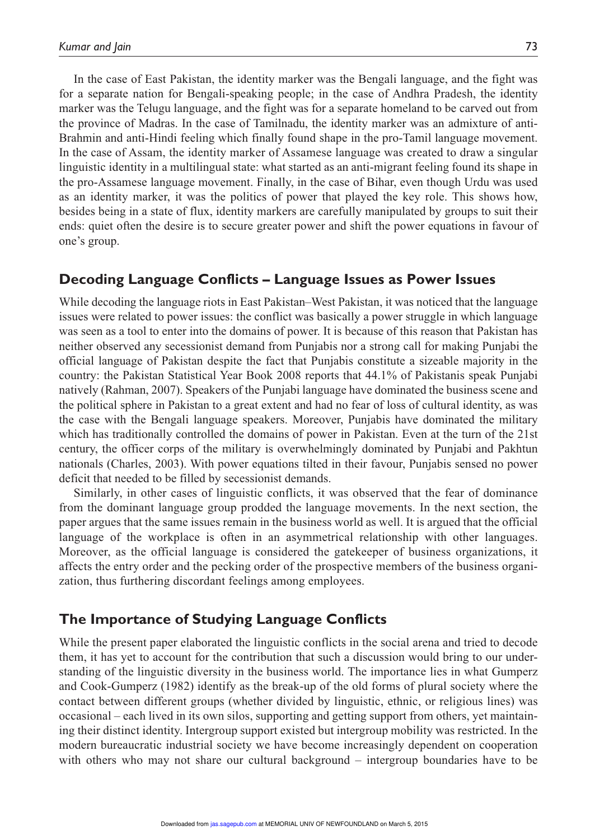In the case of East Pakistan, the identity marker was the Bengali language, and the fight was for a separate nation for Bengali-speaking people; in the case of Andhra Pradesh, the identity marker was the Telugu language, and the fight was for a separate homeland to be carved out from the province of Madras. In the case of Tamilnadu, the identity marker was an admixture of anti-Brahmin and anti-Hindi feeling which finally found shape in the pro-Tamil language movement. In the case of Assam, the identity marker of Assamese language was created to draw a singular linguistic identity in a multilingual state: what started as an anti-migrant feeling found its shape in the pro-Assamese language movement. Finally, in the case of Bihar, even though Urdu was used as an identity marker, it was the politics of power that played the key role. This shows how, besides being in a state of flux, identity markers are carefully manipulated by groups to suit their ends: quiet often the desire is to secure greater power and shift the power equations in favour of one's group.

### **Decoding Language Conflicts – Language Issues as Power Issues**

While decoding the language riots in East Pakistan–West Pakistan, it was noticed that the language issues were related to power issues: the conflict was basically a power struggle in which language was seen as a tool to enter into the domains of power. It is because of this reason that Pakistan has neither observed any secessionist demand from Punjabis nor a strong call for making Punjabi the official language of Pakistan despite the fact that Punjabis constitute a sizeable majority in the country: the Pakistan Statistical Year Book 2008 reports that 44.1% of Pakistanis speak Punjabi natively (Rahman, 2007). Speakers of the Punjabi language have dominated the business scene and the political sphere in Pakistan to a great extent and had no fear of loss of cultural identity, as was the case with the Bengali language speakers. Moreover, Punjabis have dominated the military which has traditionally controlled the domains of power in Pakistan. Even at the turn of the 21st century, the officer corps of the military is overwhelmingly dominated by Punjabi and Pakhtun nationals (Charles, 2003). With power equations tilted in their favour, Punjabis sensed no power deficit that needed to be filled by secessionist demands.

Similarly, in other cases of linguistic conflicts, it was observed that the fear of dominance from the dominant language group prodded the language movements. In the next section, the paper argues that the same issues remain in the business world as well. It is argued that the official language of the workplace is often in an asymmetrical relationship with other languages. Moreover, as the official language is considered the gatekeeper of business organizations, it affects the entry order and the pecking order of the prospective members of the business organization, thus furthering discordant feelings among employees.

### **The Importance of Studying Language Conflicts**

While the present paper elaborated the linguistic conflicts in the social arena and tried to decode them, it has yet to account for the contribution that such a discussion would bring to our understanding of the linguistic diversity in the business world. The importance lies in what Gumperz and Cook-Gumperz (1982) identify as the break-up of the old forms of plural society where the contact between different groups (whether divided by linguistic, ethnic, or religious lines) was occasional – each lived in its own silos, supporting and getting support from others, yet maintaining their distinct identity. Intergroup support existed but intergroup mobility was restricted. In the modern bureaucratic industrial society we have become increasingly dependent on cooperation with others who may not share our cultural background – intergroup boundaries have to be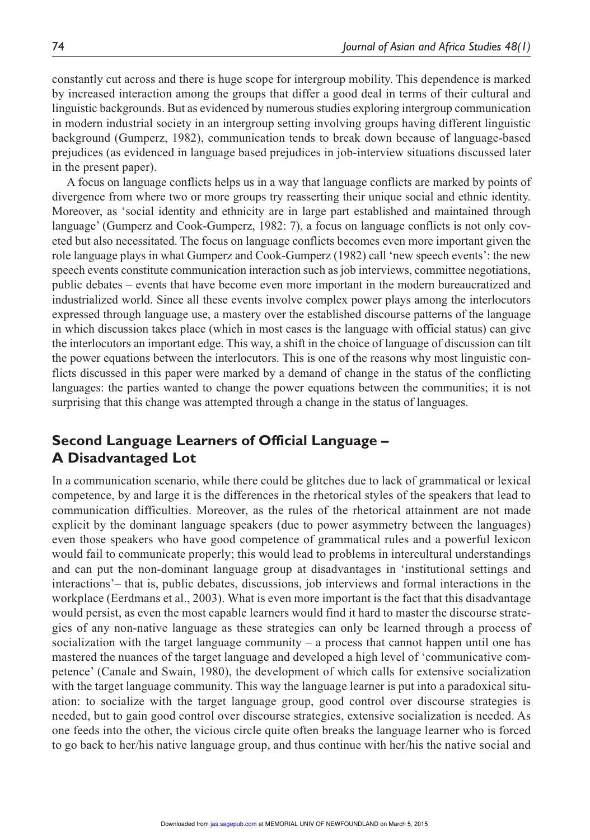constantly cut across and there is huge scope for intergroup mobility. This dependence is marked by increased interaction among the groups that differ a good deal in terms of their cultural and linguistic backgrounds. But as evidenced by numerous studies exploring intergroup communication in modern industrial society in an intergroup setting involving groups having different linguistic background (Gumperz, 1982), communication tends to break down because of language-based prejudices (as evidenced in language based prejudices in job-interview situations discussed later in the present paper).

A focus on language conflicts helps us in a way that language conflicts are marked by points of divergence from where two or more groups try reasserting their unique social and ethnic identity. Moreover, as 'social identity and ethnicity are in large part established and maintained through language' (Gumperz and Cook-Gumperz, 1982: 7), a focus on language conflicts is not only coveted but also necessitated. The focus on language conflicts becomes even more important given the role language plays in what Gumperz and Cook-Gumperz (1982) call 'new speech events': the new speech events constitute communication interaction such as job interviews, committee negotiations, public debates – events that have become even more important in the modern bureaucratized and industrialized world. Since all these events involve complex power plays among the interlocutors expressed through language use, a mastery over the established discourse patterns of the language in which discussion takes place (which in most cases is the language with official status) can give the interlocutors an important edge. This way, a shift in the choice of language of discussion can tilt the power equations between the interlocutors. This is one of the reasons why most linguistic conflicts discussed in this paper were marked by a demand of change in the status of the conflicting languages: the parties wanted to change the power equations between the communities; it is not surprising that this change was attempted through a change in the status of languages.

# **Second Language Learners of Official Language – A Disadvantaged Lot**

In a communication scenario, while there could be glitches due to lack of grammatical or lexical competence, by and large it is the differences in the rhetorical styles of the speakers that lead to communication difficulties. Moreover, as the rules of the rhetorical attainment are not made explicit by the dominant language speakers (due to power asymmetry between the languages) even those speakers who have good competence of grammatical rules and a powerful lexicon would fail to communicate properly; this would lead to problems in intercultural understandings and can put the non-dominant language group at disadvantages in 'institutional settings and interactions'– that is, public debates, discussions, job interviews and formal interactions in the workplace (Eerdmans et al., 2003). What is even more important is the fact that this disadvantage would persist, as even the most capable learners would find it hard to master the discourse strategies of any non-native language as these strategies can only be learned through a process of socialization with the target language community – a process that cannot happen until one has mastered the nuances of the target language and developed a high level of 'communicative competence' (Canale and Swain, 1980), the development of which calls for extensive socialization with the target language community. This way the language learner is put into a paradoxical situation: to socialize with the target language group, good control over discourse strategies is needed, but to gain good control over discourse strategies, extensive socialization is needed. As one feeds into the other, the vicious circle quite often breaks the language learner who is forced to go back to her/his native language group, and thus continue with her/his the native social and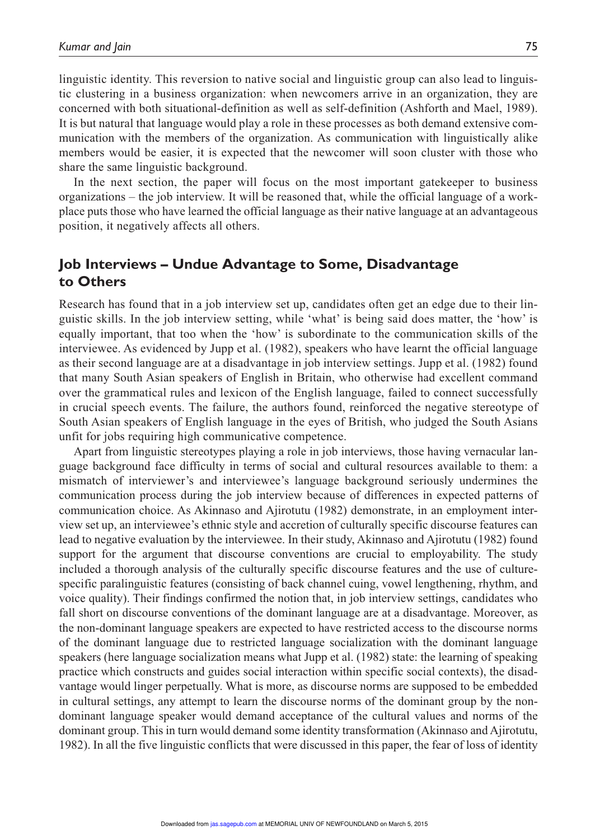linguistic identity. This reversion to native social and linguistic group can also lead to linguistic clustering in a business organization: when newcomers arrive in an organization, they are concerned with both situational-definition as well as self-definition (Ashforth and Mael, 1989). It is but natural that language would play a role in these processes as both demand extensive communication with the members of the organization. As communication with linguistically alike members would be easier, it is expected that the newcomer will soon cluster with those who share the same linguistic background.

In the next section, the paper will focus on the most important gatekeeper to business organizations – the job interview. It will be reasoned that, while the official language of a workplace puts those who have learned the official language as their native language at an advantageous position, it negatively affects all others.

# **Job Interviews – Undue Advantage to Some, Disadvantage to Others**

Research has found that in a job interview set up, candidates often get an edge due to their linguistic skills. In the job interview setting, while 'what' is being said does matter, the 'how' is equally important, that too when the 'how' is subordinate to the communication skills of the interviewee. As evidenced by Jupp et al. (1982), speakers who have learnt the official language as their second language are at a disadvantage in job interview settings. Jupp et al. (1982) found that many South Asian speakers of English in Britain, who otherwise had excellent command over the grammatical rules and lexicon of the English language, failed to connect successfully in crucial speech events. The failure, the authors found, reinforced the negative stereotype of South Asian speakers of English language in the eyes of British, who judged the South Asians unfit for jobs requiring high communicative competence.

Apart from linguistic stereotypes playing a role in job interviews, those having vernacular language background face difficulty in terms of social and cultural resources available to them: a mismatch of interviewer's and interviewee's language background seriously undermines the communication process during the job interview because of differences in expected patterns of communication choice. As Akinnaso and Ajirotutu (1982) demonstrate, in an employment interview set up, an interviewee's ethnic style and accretion of culturally specific discourse features can lead to negative evaluation by the interviewee. In their study, Akinnaso and Ajirotutu (1982) found support for the argument that discourse conventions are crucial to employability. The study included a thorough analysis of the culturally specific discourse features and the use of culturespecific paralinguistic features (consisting of back channel cuing, vowel lengthening, rhythm, and voice quality). Their findings confirmed the notion that, in job interview settings, candidates who fall short on discourse conventions of the dominant language are at a disadvantage. Moreover, as the non-dominant language speakers are expected to have restricted access to the discourse norms of the dominant language due to restricted language socialization with the dominant language speakers (here language socialization means what Jupp et al. (1982) state: the learning of speaking practice which constructs and guides social interaction within specific social contexts), the disadvantage would linger perpetually. What is more, as discourse norms are supposed to be embedded in cultural settings, any attempt to learn the discourse norms of the dominant group by the nondominant language speaker would demand acceptance of the cultural values and norms of the dominant group. This in turn would demand some identity transformation (Akinnaso and Ajirotutu, 1982). In all the five linguistic conflicts that were discussed in this paper, the fear of loss of identity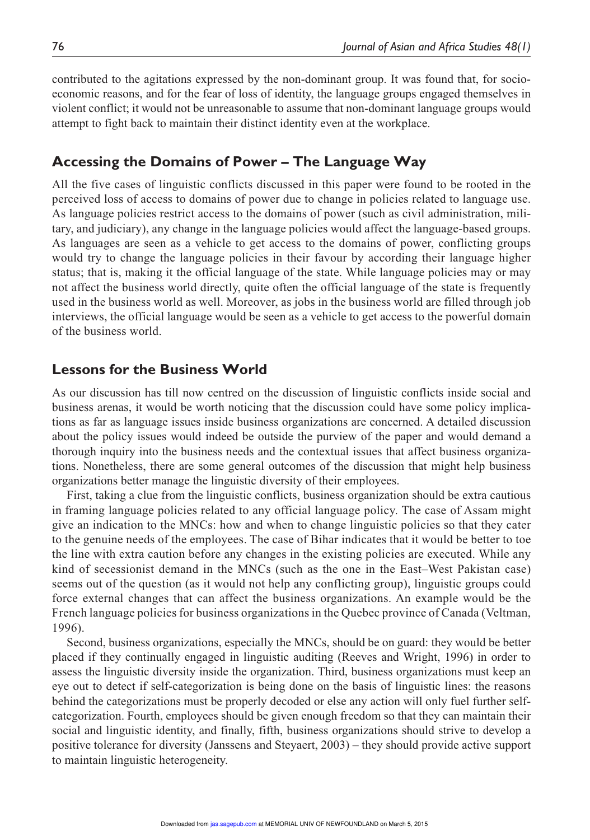contributed to the agitations expressed by the non-dominant group. It was found that, for socioeconomic reasons, and for the fear of loss of identity, the language groups engaged themselves in violent conflict; it would not be unreasonable to assume that non-dominant language groups would attempt to fight back to maintain their distinct identity even at the workplace.

## **Accessing the Domains of Power – The Language Way**

All the five cases of linguistic conflicts discussed in this paper were found to be rooted in the perceived loss of access to domains of power due to change in policies related to language use. As language policies restrict access to the domains of power (such as civil administration, military, and judiciary), any change in the language policies would affect the language-based groups. As languages are seen as a vehicle to get access to the domains of power, conflicting groups would try to change the language policies in their favour by according their language higher status; that is, making it the official language of the state. While language policies may or may not affect the business world directly, quite often the official language of the state is frequently used in the business world as well. Moreover, as jobs in the business world are filled through job interviews, the official language would be seen as a vehicle to get access to the powerful domain of the business world.

### **Lessons for the Business World**

As our discussion has till now centred on the discussion of linguistic conflicts inside social and business arenas, it would be worth noticing that the discussion could have some policy implications as far as language issues inside business organizations are concerned. A detailed discussion about the policy issues would indeed be outside the purview of the paper and would demand a thorough inquiry into the business needs and the contextual issues that affect business organizations. Nonetheless, there are some general outcomes of the discussion that might help business organizations better manage the linguistic diversity of their employees.

First, taking a clue from the linguistic conflicts, business organization should be extra cautious in framing language policies related to any official language policy. The case of Assam might give an indication to the MNCs: how and when to change linguistic policies so that they cater to the genuine needs of the employees. The case of Bihar indicates that it would be better to toe the line with extra caution before any changes in the existing policies are executed. While any kind of secessionist demand in the MNCs (such as the one in the East–West Pakistan case) seems out of the question (as it would not help any conflicting group), linguistic groups could force external changes that can affect the business organizations. An example would be the French language policies for business organizations in the Quebec province of Canada (Veltman, 1996).

Second, business organizations, especially the MNCs, should be on guard: they would be better placed if they continually engaged in linguistic auditing (Reeves and Wright, 1996) in order to assess the linguistic diversity inside the organization. Third, business organizations must keep an eye out to detect if self-categorization is being done on the basis of linguistic lines: the reasons behind the categorizations must be properly decoded or else any action will only fuel further selfcategorization. Fourth, employees should be given enough freedom so that they can maintain their social and linguistic identity, and finally, fifth, business organizations should strive to develop a positive tolerance for diversity (Janssens and Steyaert, 2003) – they should provide active support to maintain linguistic heterogeneity.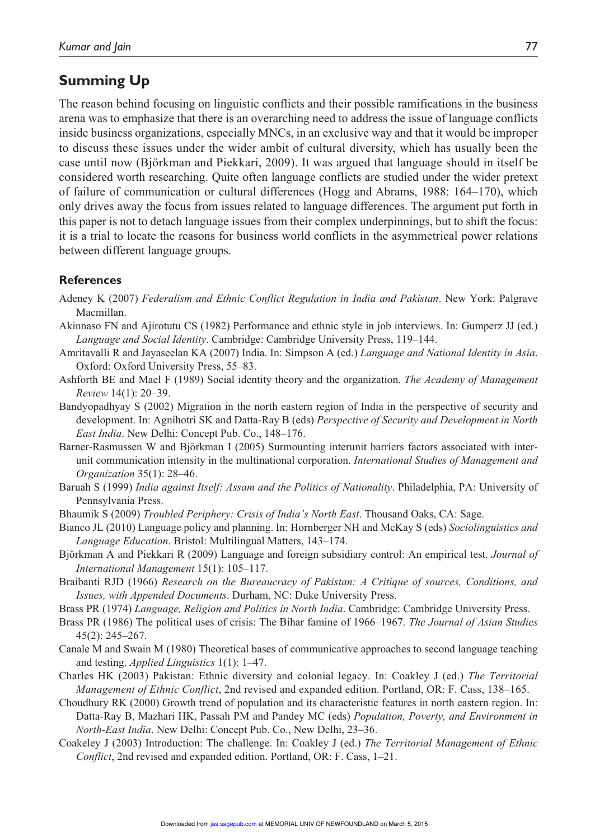# **Summing Up**

The reason behind focusing on linguistic conflicts and their possible ramifications in the business arena was to emphasize that there is an overarching need to address the issue of language conflicts inside business organizations, especially MNCs, in an exclusive way and that it would be improper to discuss these issues under the wider ambit of cultural diversity, which has usually been the case until now (Björkman and Piekkari, 2009). It was argued that language should in itself be considered worth researching. Quite often language conflicts are studied under the wider pretext of failure of communication or cultural differences (Hogg and Abrams, 1988: 164–170), which only drives away the focus from issues related to language differences. The argument put forth in this paper is not to detach language issues from their complex underpinnings, but to shift the focus: it is a trial to locate the reasons for business world conflicts in the asymmetrical power relations between different language groups.

### **References**

- Adeney K (2007) *Federalism and Ethnic Conflict Regulation in India and Pakistan*. New York: Palgrave Macmillan.
- Akinnaso FN and Ajirotutu CS (1982) Performance and ethnic style in job interviews. In: Gumperz JJ (ed.) *Language and Social Identity*. Cambridge: Cambridge University Press, 119–144.
- Amritavalli R and Jayaseelan KA (2007) India. In: Simpson A (ed.) *Language and National Identity in Asia*. Oxford: Oxford University Press, 55–83.
- Ashforth BE and Mael F (1989) Social identity theory and the organization. *The Academy of Management Review* 14(1): 20–39.
- Bandyopadhyay S (2002) Migration in the north eastern region of India in the perspective of security and development. In: Agnihotri SK and Datta-Ray B (eds) *Perspective of Security and Development in North East India*. New Delhi: Concept Pub. Co., 148–176.
- Barner-Rasmussen W and Björkman I (2005) Surmounting interunit barriers factors associated with interunit communication intensity in the multinational corporation. *International Studies of Management and Organization* 35(1): 28–46.
- Baruah S (1999) *India against Itself: Assam and the Politics of Nationality*. Philadelphia, PA: University of Pennsylvania Press.
- Bhaumik S (2009) *Troubled Periphery: Crisis of India's North East*. Thousand Oaks, CA: Sage.
- Bianco JL (2010) Language policy and planning. In: Hornberger NH and McKay S (eds) *Sociolinguistics and Language Education*. Bristol: Multilingual Matters, 143–174.
- Björkman A and Piekkari R (2009) Language and foreign subsidiary control: An empirical test. *Journal of International Management* 15(1): 105–117.
- Braibanti RJD (1966) *Research on the Bureaucracy of Pakistan: A Critique of sources, Conditions, and Issues, with Appended Documents*. Durham, NC: Duke University Press.
- Brass PR (1974) *Language, Religion and Politics in North India*. Cambridge: Cambridge University Press.
- Brass PR (1986) The political uses of crisis: The Bihar famine of 1966–1967. *The Journal of Asian Studies* 45(2): 245–267.
- Canale M and Swain M (1980) Theoretical bases of communicative approaches to second language teaching and testing. *Applied Linguistics* 1(1): 1–47.
- Charles HK (2003) Pakistan: Ethnic diversity and colonial legacy. In: Coakley J (ed.) *The Territorial Management of Ethnic Conflict*, 2nd revised and expanded edition. Portland, OR: F. Cass, 138–165.
- Choudhury RK (2000) Growth trend of population and its characteristic features in north eastern region. In: Datta-Ray B, Mazhari HK, Passah PM and Pandey MC (eds) *Population, Poverty, and Environment in North-East India*. New Delhi: Concept Pub. Co., New Delhi, 23–36.
- Coakeley J (2003) Introduction: The challenge. In: Coakley J (ed.) *The Territorial Management of Ethnic Conflict*, 2nd revised and expanded edition. Portland, OR: F. Cass, 1–21.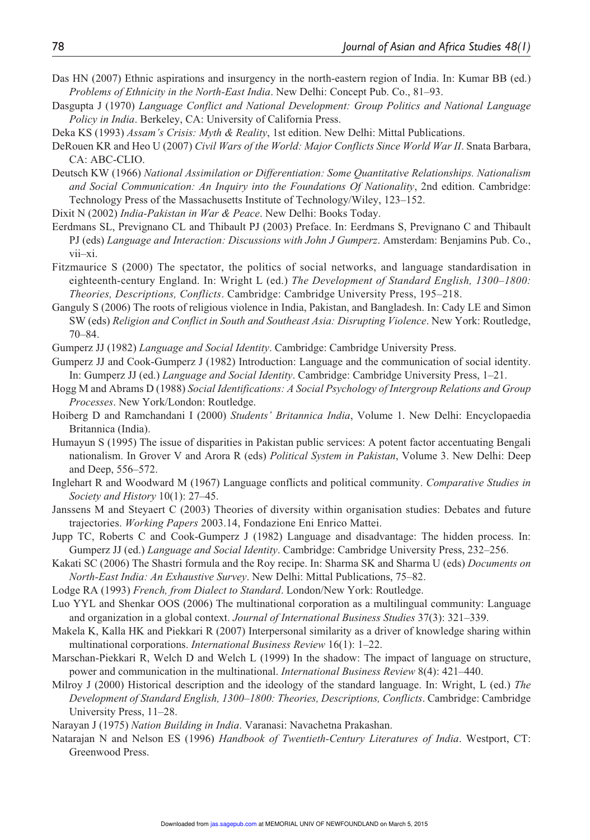- Das HN (2007) Ethnic aspirations and insurgency in the north-eastern region of India. In: Kumar BB (ed.) *Problems of Ethnicity in the North-East India*. New Delhi: Concept Pub. Co., 81–93.
- Dasgupta J (1970) *Language Conflict and National Development: Group Politics and National Language Policy in India*. Berkeley, CA: University of California Press.
- Deka KS (1993) *Assam's Crisis: Myth & Reality*, 1st edition. New Delhi: Mittal Publications.
- DeRouen KR and Heo U (2007) *Civil Wars of the World: Major Conflicts Since World War II*. Snata Barbara, CA: ABC-CLIO.
- Deutsch KW (1966) *National Assimilation or Differentiation: Some Quantitative Relationships. Nationalism and Social Communication: An Inquiry into the Foundations Of Nationality*, 2nd edition. Cambridge: Technology Press of the Massachusetts Institute of Technology/Wiley, 123–152.
- Dixit N (2002) *India-Pakistan in War & Peace*. New Delhi: Books Today.
- Eerdmans SL, Prevignano CL and Thibault PJ (2003) Preface. In: Eerdmans S, Prevignano C and Thibault PJ (eds) *Language and Interaction: Discussions with John J Gumperz*. Amsterdam: Benjamins Pub. Co., vii–xi.
- Fitzmaurice S (2000) The spectator, the politics of social networks, and language standardisation in eighteenth-century England. In: Wright L (ed.) *The Development of Standard English, 1300–1800: Theories, Descriptions, Conflicts*. Cambridge: Cambridge University Press, 195–218.
- Ganguly S (2006) The roots of religious violence in India, Pakistan, and Bangladesh. In: Cady LE and Simon SW (eds) *Religion and Conflict in South and Southeast Asia: Disrupting Violence*. New York: Routledge, 70–84.

Gumperz JJ (1982) *Language and Social Identity*. Cambridge: Cambridge University Press.

- Gumperz JJ and Cook-Gumperz J (1982) Introduction: Language and the communication of social identity. In: Gumperz JJ (ed.) *Language and Social Identity*. Cambridge: Cambridge University Press, 1–21.
- Hogg M and Abrams D (1988) *Social Identifications: A Social Psychology of Intergroup Relations and Group Processes*. New York/London: Routledge.
- Hoiberg D and Ramchandani I (2000) *Students' Britannica India*, Volume 1. New Delhi: Encyclopaedia Britannica (India).
- Humayun S (1995) The issue of disparities in Pakistan public services: A potent factor accentuating Bengali nationalism. In Grover V and Arora R (eds) *Political System in Pakistan*, Volume 3. New Delhi: Deep and Deep, 556–572.
- Inglehart R and Woodward M (1967) Language conflicts and political community. *Comparative Studies in Society and History* 10(1): 27–45.
- Janssens M and Steyaert C (2003) Theories of diversity within organisation studies: Debates and future trajectories. *Working Papers* 2003.14, Fondazione Eni Enrico Mattei.
- Jupp TC, Roberts C and Cook-Gumperz J (1982) Language and disadvantage: The hidden process. In: Gumperz JJ (ed.) *Language and Social Identity*. Cambridge: Cambridge University Press, 232–256.
- Kakati SC (2006) The Shastri formula and the Roy recipe. In: Sharma SK and Sharma U (eds) *Documents on North-East India: An Exhaustive Survey*. New Delhi: Mittal Publications, 75–82.
- Lodge RA (1993) *French, from Dialect to Standard*. London/New York: Routledge.
- Luo YYL and Shenkar OOS (2006) The multinational corporation as a multilingual community: Language and organization in a global context. *Journal of International Business Studies* 37(3): 321–339.
- Makela K, Kalla HK and Piekkari R (2007) Interpersonal similarity as a driver of knowledge sharing within multinational corporations. *International Business Review* 16(1): 1–22.
- Marschan-Piekkari R, Welch D and Welch L (1999) In the shadow: The impact of language on structure, power and communication in the multinational. *International Business Review* 8(4): 421–440.
- Milroy J (2000) Historical description and the ideology of the standard language. In: Wright, L (ed.) *The Development of Standard English, 1300–1800: Theories, Descriptions, Conflicts*. Cambridge: Cambridge University Press, 11–28.

Narayan J (1975) *Nation Building in India*. Varanasi: Navachetna Prakashan.

Natarajan N and Nelson ES (1996) *Handbook of Twentieth-Century Literatures of India*. Westport, CT: Greenwood Press.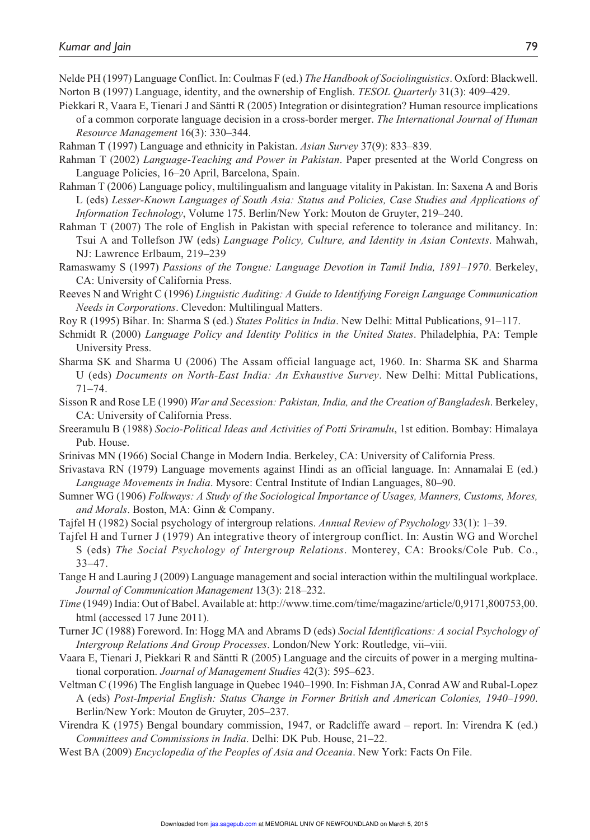Nelde PH (1997) Language Conflict. In: Coulmas F (ed.) *The Handbook of Sociolinguistics*. Oxford: Blackwell. Norton B (1997) Language, identity, and the ownership of English. *TESOL Quarterly* 31(3): 409–429.

- Piekkari R, Vaara E, Tienari J and Säntti R (2005) Integration or disintegration? Human resource implications of a common corporate language decision in a cross-border merger. *The International Journal of Human Resource Management* 16(3): 330–344.
- Rahman T (1997) Language and ethnicity in Pakistan. *Asian Survey* 37(9): 833–839.
- Rahman T (2002) *Language-Teaching and Power in Pakistan*. Paper presented at the World Congress on Language Policies, 16–20 April, Barcelona, Spain.
- Rahman T (2006) Language policy, multilingualism and language vitality in Pakistan. In: Saxena A and Boris L (eds) *Lesser-Known Languages of South Asia: Status and Policies, Case Studies and Applications of Information Technology*, Volume 175. Berlin/New York: Mouton de Gruyter, 219–240.
- Rahman T (2007) The role of English in Pakistan with special reference to tolerance and militancy. In: Tsui A and Tollefson JW (eds) *Language Policy, Culture, and Identity in Asian Contexts*. Mahwah, NJ: Lawrence Erlbaum, 219–239
- Ramaswamy S (1997) *Passions of the Tongue: Language Devotion in Tamil India, 1891–1970*. Berkeley, CA: University of California Press.
- Reeves N and Wright C (1996) *Linguistic Auditing: A Guide to Identifying Foreign Language Communication Needs in Corporations*. Clevedon: Multilingual Matters.
- Roy R (1995) Bihar. In: Sharma S (ed.) *States Politics in India*. New Delhi: Mittal Publications, 91–117.
- Schmidt R (2000) *Language Policy and Identity Politics in the United States*. Philadelphia, PA: Temple University Press.
- Sharma SK and Sharma U (2006) The Assam official language act, 1960. In: Sharma SK and Sharma U (eds) *Documents on North-East India: An Exhaustive Survey*. New Delhi: Mittal Publications, 71–74.
- Sisson R and Rose LE (1990) *War and Secession: Pakistan, India, and the Creation of Bangladesh*. Berkeley, CA: University of California Press.
- Sreeramulu B (1988) *Socio-Political Ideas and Activities of Potti Sriramulu*, 1st edition. Bombay: Himalaya Pub. House.
- Srinivas MN (1966) Social Change in Modern India. Berkeley, CA: University of California Press.
- Srivastava RN (1979) Language movements against Hindi as an official language. In: Annamalai E (ed.) *Language Movements in India*. Mysore: Central Institute of Indian Languages, 80–90.
- Sumner WG (1906) *Folkways: A Study of the Sociological Importance of Usages, Manners, Customs, Mores, and Morals*. Boston, MA: Ginn & Company.
- Tajfel H (1982) Social psychology of intergroup relations. *Annual Review of Psychology* 33(1): 1–39.
- Tajfel H and Turner J (1979) An integrative theory of intergroup conflict. In: Austin WG and Worchel S (eds) *The Social Psychology of Intergroup Relations*. Monterey, CA: Brooks/Cole Pub. Co., 33–47.
- Tange H and Lauring J (2009) Language management and social interaction within the multilingual workplace. *Journal of Communication Management* 13(3): 218–232.
- *Time* (1949) India: Out of Babel. Available at: http://www.time.com/time/magazine/article/0,9171,800753,00. html (accessed 17 June 2011).
- Turner JC (1988) Foreword. In: Hogg MA and Abrams D (eds) *Social Identifications: A social Psychology of Intergroup Relations And Group Processes*. London/New York: Routledge, vii–viii.
- Vaara E, Tienari J, Piekkari R and Säntti R (2005) Language and the circuits of power in a merging multinational corporation. *Journal of Management Studies* 42(3): 595–623.
- Veltman C (1996) The English language in Quebec 1940–1990. In: Fishman JA, Conrad AW and Rubal-Lopez A (eds) *Post-Imperial English: Status Change in Former British and American Colonies, 1940–1990*. Berlin/New York: Mouton de Gruyter, 205–237.
- Virendra K (1975) Bengal boundary commission, 1947, or Radcliffe award report. In: Virendra K (ed.) *Committees and Commissions in India*. Delhi: DK Pub. House, 21–22.
- West BA (2009) *Encyclopedia of the Peoples of Asia and Oceania*. New York: Facts On File.